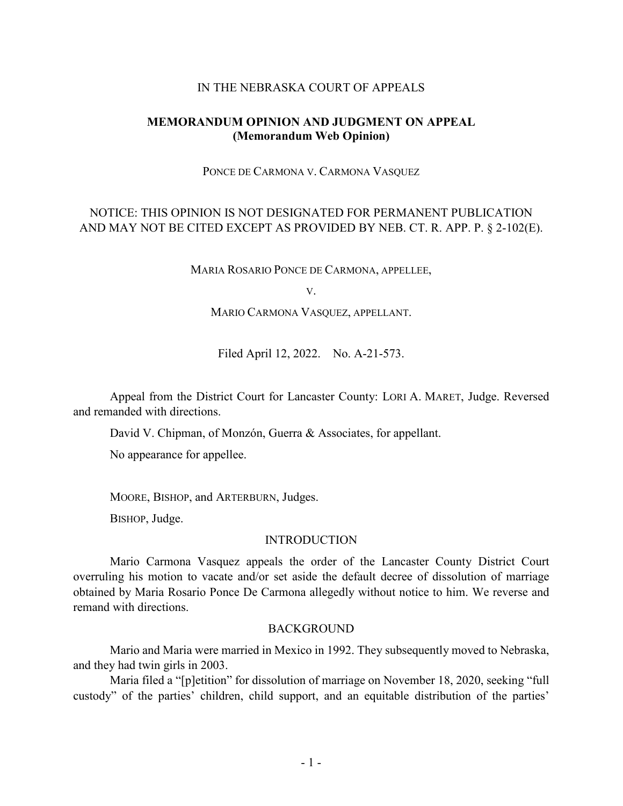### IN THE NEBRASKA COURT OF APPEALS

## **MEMORANDUM OPINION AND JUDGMENT ON APPEAL (Memorandum Web Opinion)**

PONCE DE CARMONA V. CARMONA VASQUEZ

# NOTICE: THIS OPINION IS NOT DESIGNATED FOR PERMANENT PUBLICATION AND MAY NOT BE CITED EXCEPT AS PROVIDED BY NEB. CT. R. APP. P. § 2-102(E).

MARIA ROSARIO PONCE DE CARMONA, APPELLEE,

V.

#### MARIO CARMONA VASQUEZ, APPELLANT.

Filed April 12, 2022. No. A-21-573.

Appeal from the District Court for Lancaster County: LORI A. MARET, Judge. Reversed and remanded with directions.

David V. Chipman, of Monzón, Guerra & Associates, for appellant.

No appearance for appellee.

MOORE, BISHOP, and ARTERBURN, Judges.

BISHOP, Judge.

#### INTRODUCTION

Mario Carmona Vasquez appeals the order of the Lancaster County District Court overruling his motion to vacate and/or set aside the default decree of dissolution of marriage obtained by Maria Rosario Ponce De Carmona allegedly without notice to him. We reverse and remand with directions.

#### **BACKGROUND**

Mario and Maria were married in Mexico in 1992. They subsequently moved to Nebraska, and they had twin girls in 2003.

Maria filed a "[p]etition" for dissolution of marriage on November 18, 2020, seeking "full custody" of the parties' children, child support, and an equitable distribution of the parties'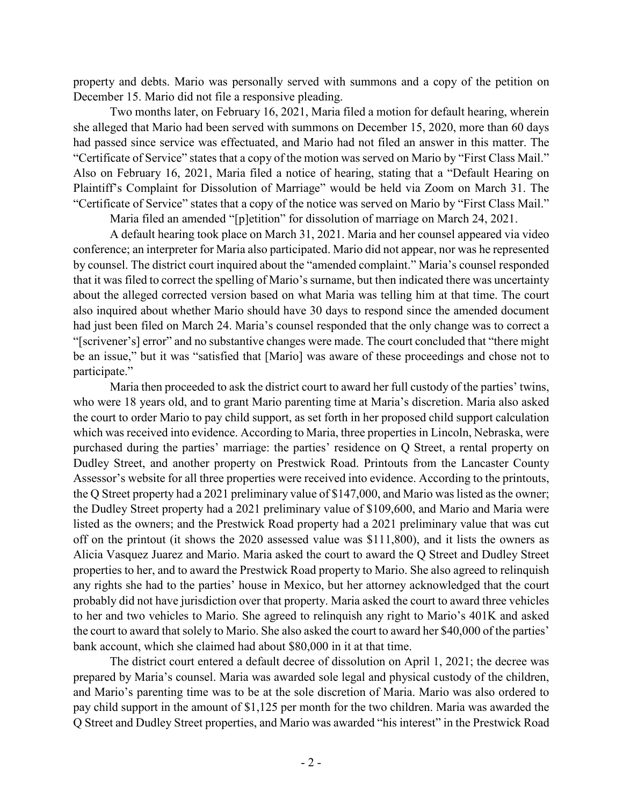property and debts. Mario was personally served with summons and a copy of the petition on December 15. Mario did not file a responsive pleading.

Two months later, on February 16, 2021, Maria filed a motion for default hearing, wherein she alleged that Mario had been served with summons on December 15, 2020, more than 60 days had passed since service was effectuated, and Mario had not filed an answer in this matter. The "Certificate of Service" states that a copy of the motion was served on Mario by "First Class Mail." Also on February 16, 2021, Maria filed a notice of hearing, stating that a "Default Hearing on Plaintiff's Complaint for Dissolution of Marriage" would be held via Zoom on March 31. The "Certificate of Service" states that a copy of the notice was served on Mario by "First Class Mail."

Maria filed an amended "[p]etition" for dissolution of marriage on March 24, 2021.

A default hearing took place on March 31, 2021. Maria and her counsel appeared via video conference; an interpreter for Maria also participated. Mario did not appear, nor was he represented by counsel. The district court inquired about the "amended complaint." Maria's counsel responded that it was filed to correct the spelling of Mario's surname, but then indicated there was uncertainty about the alleged corrected version based on what Maria was telling him at that time. The court also inquired about whether Mario should have 30 days to respond since the amended document had just been filed on March 24. Maria's counsel responded that the only change was to correct a "[scrivener's] error" and no substantive changes were made. The court concluded that "there might be an issue," but it was "satisfied that [Mario] was aware of these proceedings and chose not to participate."

Maria then proceeded to ask the district court to award her full custody of the parties' twins, who were 18 years old, and to grant Mario parenting time at Maria's discretion. Maria also asked the court to order Mario to pay child support, as set forth in her proposed child support calculation which was received into evidence. According to Maria, three properties in Lincoln, Nebraska, were purchased during the parties' marriage: the parties' residence on Q Street, a rental property on Dudley Street, and another property on Prestwick Road. Printouts from the Lancaster County Assessor's website for all three properties were received into evidence. According to the printouts, the Q Street property had a 2021 preliminary value of \$147,000, and Mario was listed as the owner; the Dudley Street property had a 2021 preliminary value of \$109,600, and Mario and Maria were listed as the owners; and the Prestwick Road property had a 2021 preliminary value that was cut off on the printout (it shows the 2020 assessed value was \$111,800), and it lists the owners as Alicia Vasquez Juarez and Mario. Maria asked the court to award the Q Street and Dudley Street properties to her, and to award the Prestwick Road property to Mario. She also agreed to relinquish any rights she had to the parties' house in Mexico, but her attorney acknowledged that the court probably did not have jurisdiction over that property. Maria asked the court to award three vehicles to her and two vehicles to Mario. She agreed to relinquish any right to Mario's 401K and asked the court to award that solely to Mario. She also asked the court to award her \$40,000 of the parties' bank account, which she claimed had about \$80,000 in it at that time.

The district court entered a default decree of dissolution on April 1, 2021; the decree was prepared by Maria's counsel. Maria was awarded sole legal and physical custody of the children, and Mario's parenting time was to be at the sole discretion of Maria. Mario was also ordered to pay child support in the amount of \$1,125 per month for the two children. Maria was awarded the Q Street and Dudley Street properties, and Mario was awarded "his interest" in the Prestwick Road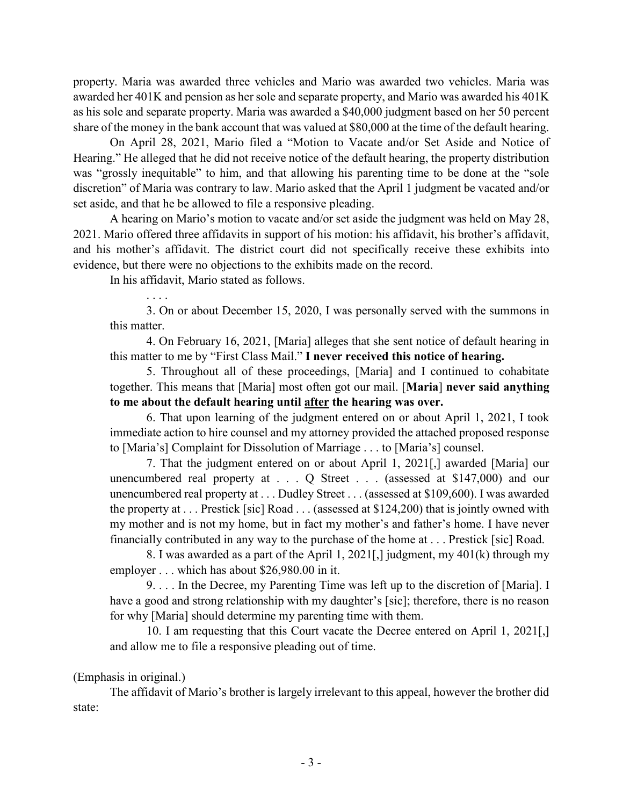property. Maria was awarded three vehicles and Mario was awarded two vehicles. Maria was awarded her 401K and pension as her sole and separate property, and Mario was awarded his 401K as his sole and separate property. Maria was awarded a \$40,000 judgment based on her 50 percent share of the money in the bank account that was valued at \$80,000 at the time of the default hearing.

On April 28, 2021, Mario filed a "Motion to Vacate and/or Set Aside and Notice of Hearing." He alleged that he did not receive notice of the default hearing, the property distribution was "grossly inequitable" to him, and that allowing his parenting time to be done at the "sole discretion" of Maria was contrary to law. Mario asked that the April 1 judgment be vacated and/or set aside, and that he be allowed to file a responsive pleading.

A hearing on Mario's motion to vacate and/or set aside the judgment was held on May 28, 2021. Mario offered three affidavits in support of his motion: his affidavit, his brother's affidavit, and his mother's affidavit. The district court did not specifically receive these exhibits into evidence, but there were no objections to the exhibits made on the record.

In his affidavit, Mario stated as follows.

. . . . 3. On or about December 15, 2020, I was personally served with the summons in this matter.

4. On February 16, 2021, [Maria] alleges that she sent notice of default hearing in this matter to me by "First Class Mail." **I never received this notice of hearing.**

5. Throughout all of these proceedings, [Maria] and I continued to cohabitate together. This means that [Maria] most often got our mail. [**Maria**] **never said anything to me about the default hearing until after the hearing was over.**

6. That upon learning of the judgment entered on or about April 1, 2021, I took immediate action to hire counsel and my attorney provided the attached proposed response to [Maria's] Complaint for Dissolution of Marriage . . . to [Maria's] counsel.

7. That the judgment entered on or about April 1, 2021[,] awarded [Maria] our unencumbered real property at . . . Q Street . . . (assessed at \$147,000) and our unencumbered real property at . . . Dudley Street . . . (assessed at \$109,600). I was awarded the property at . . . Prestick [sic] Road . . . (assessed at \$124,200) that is jointly owned with my mother and is not my home, but in fact my mother's and father's home. I have never financially contributed in any way to the purchase of the home at . . . Prestick [sic] Road.

8. I was awarded as a part of the April 1, 2021[,] judgment, my 401(k) through my employer . . . which has about \$26,980.00 in it.

9. . . . In the Decree, my Parenting Time was left up to the discretion of [Maria]. I have a good and strong relationship with my daughter's [sic]; therefore, there is no reason for why [Maria] should determine my parenting time with them.

10. I am requesting that this Court vacate the Decree entered on April 1, 2021[,] and allow me to file a responsive pleading out of time.

## (Emphasis in original.)

The affidavit of Mario's brother is largely irrelevant to this appeal, however the brother did state: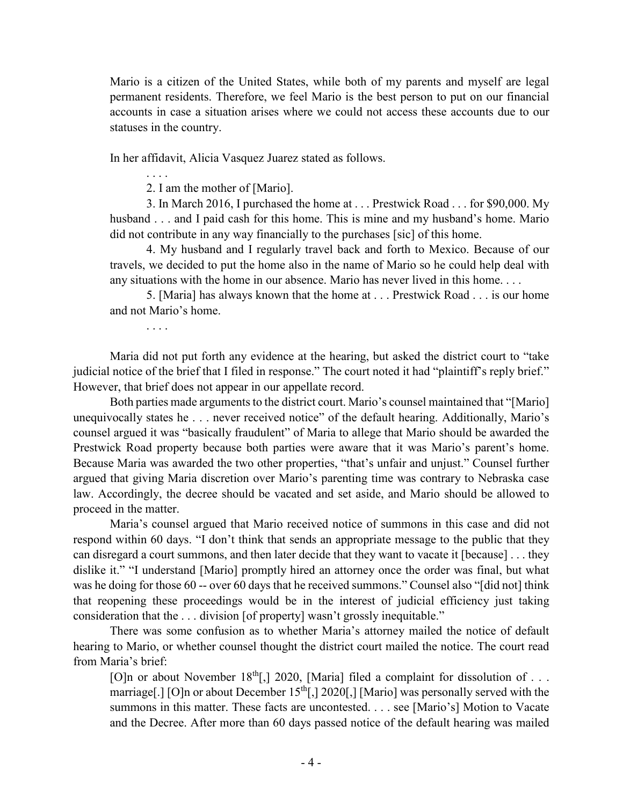Mario is a citizen of the United States, while both of my parents and myself are legal permanent residents. Therefore, we feel Mario is the best person to put on our financial accounts in case a situation arises where we could not access these accounts due to our statuses in the country.

In her affidavit, Alicia Vasquez Juarez stated as follows.

. . . .

2. I am the mother of [Mario].

3. In March 2016, I purchased the home at . . . Prestwick Road . . . for \$90,000. My husband . . . and I paid cash for this home. This is mine and my husband's home. Mario did not contribute in any way financially to the purchases [sic] of this home.

4. My husband and I regularly travel back and forth to Mexico. Because of our travels, we decided to put the home also in the name of Mario so he could help deal with any situations with the home in our absence. Mario has never lived in this home. . . .

5. [Maria] has always known that the home at . . . Prestwick Road . . . is our home and not Mario's home.

. . . .

Maria did not put forth any evidence at the hearing, but asked the district court to "take judicial notice of the brief that I filed in response." The court noted it had "plaintiff's reply brief." However, that brief does not appear in our appellate record.

Both parties made arguments to the district court. Mario's counsel maintained that "[Mario] unequivocally states he . . . never received notice" of the default hearing. Additionally, Mario's counsel argued it was "basically fraudulent" of Maria to allege that Mario should be awarded the Prestwick Road property because both parties were aware that it was Mario's parent's home. Because Maria was awarded the two other properties, "that's unfair and unjust." Counsel further argued that giving Maria discretion over Mario's parenting time was contrary to Nebraska case law. Accordingly, the decree should be vacated and set aside, and Mario should be allowed to proceed in the matter.

Maria's counsel argued that Mario received notice of summons in this case and did not respond within 60 days. "I don't think that sends an appropriate message to the public that they can disregard a court summons, and then later decide that they want to vacate it [because] . . . they dislike it." "I understand [Mario] promptly hired an attorney once the order was final, but what was he doing for those 60 -- over 60 days that he received summons." Counsel also "[did not] think that reopening these proceedings would be in the interest of judicial efficiency just taking consideration that the . . . division [of property] wasn't grossly inequitable."

There was some confusion as to whether Maria's attorney mailed the notice of default hearing to Mario, or whether counsel thought the district court mailed the notice. The court read from Maria's brief:

[O]n or about November 18<sup>th</sup>[,] 2020, [Maria] filed a complaint for dissolution of . . . marriage[.] [O]n or about December  $15<sup>th</sup>$ [,] 2020[,] [Mario] was personally served with the summons in this matter. These facts are uncontested. . . . see [Mario's] Motion to Vacate and the Decree. After more than 60 days passed notice of the default hearing was mailed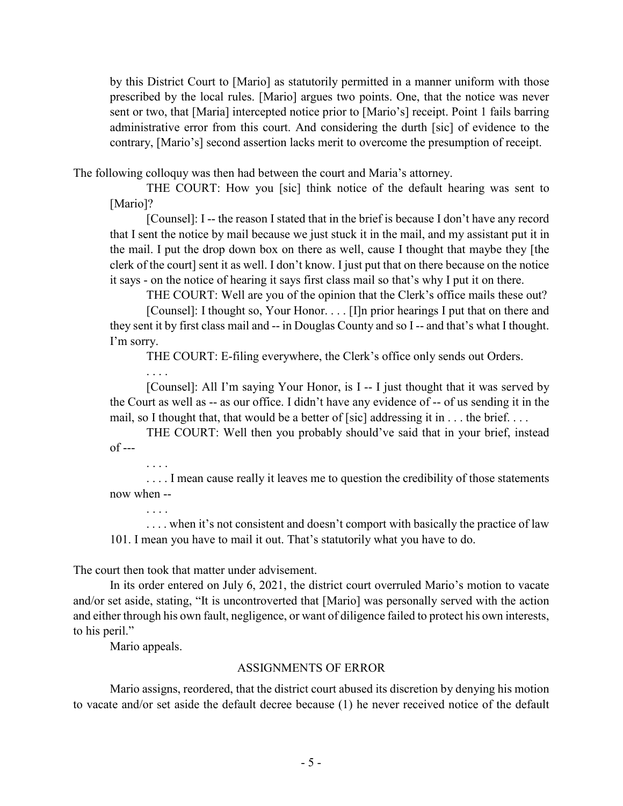by this District Court to [Mario] as statutorily permitted in a manner uniform with those prescribed by the local rules. [Mario] argues two points. One, that the notice was never sent or two, that [Maria] intercepted notice prior to [Mario's] receipt. Point 1 fails barring administrative error from this court. And considering the durth [sic] of evidence to the contrary, [Mario's] second assertion lacks merit to overcome the presumption of receipt.

The following colloquy was then had between the court and Maria's attorney.

THE COURT: How you [sic] think notice of the default hearing was sent to [Mario]?

[Counsel]: I -- the reason I stated that in the brief is because I don't have any record that I sent the notice by mail because we just stuck it in the mail, and my assistant put it in the mail. I put the drop down box on there as well, cause I thought that maybe they [the clerk of the court] sent it as well. I don't know. I just put that on there because on the notice it says - on the notice of hearing it says first class mail so that's why I put it on there.

THE COURT: Well are you of the opinion that the Clerk's office mails these out?

[Counsel]: I thought so, Your Honor. . . . [I]n prior hearings I put that on there and they sent it by first class mail and -- in Douglas County and so I -- and that's what I thought. I'm sorry.

THE COURT: E-filing everywhere, the Clerk's office only sends out Orders.

. . . .

. . . .

. . . .

[Counsel]: All I'm saying Your Honor, is I -- I just thought that it was served by the Court as well as -- as our office. I didn't have any evidence of -- of us sending it in the mail, so I thought that, that would be a better of [sic] addressing it in . . . the brief. . . .

THE COURT: Well then you probably should've said that in your brief, instead of ---

.... I mean cause really it leaves me to question the credibility of those statements now when --

. . . . when it's not consistent and doesn't comport with basically the practice of law 101. I mean you have to mail it out. That's statutorily what you have to do.

The court then took that matter under advisement.

In its order entered on July 6, 2021, the district court overruled Mario's motion to vacate and/or set aside, stating, "It is uncontroverted that [Mario] was personally served with the action and either through his own fault, negligence, or want of diligence failed to protect his own interests, to his peril."

Mario appeals.

### ASSIGNMENTS OF ERROR

Mario assigns, reordered, that the district court abused its discretion by denying his motion to vacate and/or set aside the default decree because (1) he never received notice of the default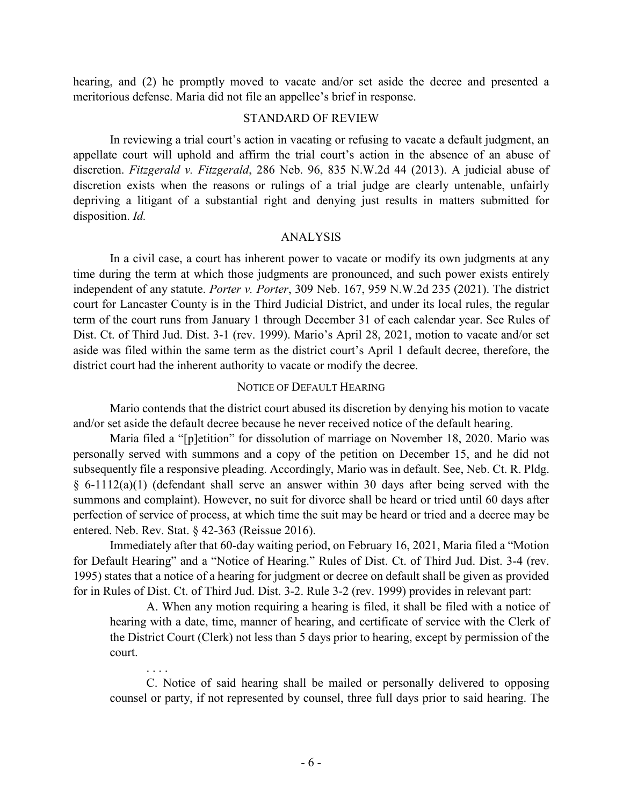hearing, and (2) he promptly moved to vacate and/or set aside the decree and presented a meritorious defense. Maria did not file an appellee's brief in response.

#### STANDARD OF REVIEW

In reviewing a trial court's action in vacating or refusing to vacate a default judgment, an appellate court will uphold and affirm the trial court's action in the absence of an abuse of discretion. *Fitzgerald v. Fitzgerald*, 286 Neb. 96, 835 N.W.2d 44 (2013). A judicial abuse of discretion exists when the reasons or rulings of a trial judge are clearly untenable, unfairly depriving a litigant of a substantial right and denying just results in matters submitted for disposition. *Id.*

### ANALYSIS

In a civil case, a court has inherent power to vacate or modify its own judgments at any time during the term at which those judgments are pronounced, and such power exists entirely independent of any statute. *Porter v. Porter*, 309 Neb. 167, 959 N.W.2d 235 (2021). The district court for Lancaster County is in the Third Judicial District, and under its local rules, the regular term of the court runs from January 1 through December 31 of each calendar year. See Rules of Dist. Ct. of Third Jud. Dist. 3-1 (rev. 1999). Mario's April 28, 2021, motion to vacate and/or set aside was filed within the same term as the district court's April 1 default decree, therefore, the district court had the inherent authority to vacate or modify the decree.

#### NOTICE OF DEFAULT HEARING

Mario contends that the district court abused its discretion by denying his motion to vacate and/or set aside the default decree because he never received notice of the default hearing.

Maria filed a "[p]etition" for dissolution of marriage on November 18, 2020. Mario was personally served with summons and a copy of the petition on December 15, and he did not subsequently file a responsive pleading. Accordingly, Mario was in default. See, Neb. Ct. R. Pldg. § 6-1112(a)(1) (defendant shall serve an answer within 30 days after being served with the summons and complaint). However, no suit for divorce shall be heard or tried until 60 days after perfection of service of process, at which time the suit may be heard or tried and a decree may be entered. Neb. Rev. Stat. § 42-363 (Reissue 2016).

Immediately after that 60-day waiting period, on February 16, 2021, Maria filed a "Motion for Default Hearing" and a "Notice of Hearing." Rules of Dist. Ct. of Third Jud. Dist. 3-4 (rev. 1995) states that a notice of a hearing for judgment or decree on default shall be given as provided for in Rules of Dist. Ct. of Third Jud. Dist. 3-2. Rule 3-2 (rev. 1999) provides in relevant part:

A. When any motion requiring a hearing is filed, it shall be filed with a notice of hearing with a date, time, manner of hearing, and certificate of service with the Clerk of the District Court (Clerk) not less than 5 days prior to hearing, except by permission of the court.

C. Notice of said hearing shall be mailed or personally delivered to opposing counsel or party, if not represented by counsel, three full days prior to said hearing. The

. . . .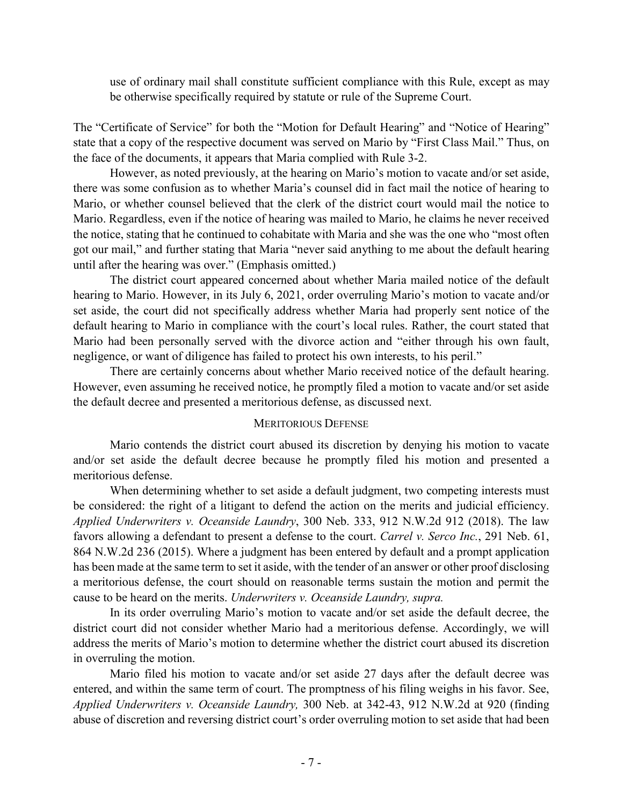use of ordinary mail shall constitute sufficient compliance with this Rule, except as may be otherwise specifically required by statute or rule of the Supreme Court.

The "Certificate of Service" for both the "Motion for Default Hearing" and "Notice of Hearing" state that a copy of the respective document was served on Mario by "First Class Mail." Thus, on the face of the documents, it appears that Maria complied with Rule 3-2.

However, as noted previously, at the hearing on Mario's motion to vacate and/or set aside, there was some confusion as to whether Maria's counsel did in fact mail the notice of hearing to Mario, or whether counsel believed that the clerk of the district court would mail the notice to Mario. Regardless, even if the notice of hearing was mailed to Mario, he claims he never received the notice, stating that he continued to cohabitate with Maria and she was the one who "most often got our mail," and further stating that Maria "never said anything to me about the default hearing until after the hearing was over." (Emphasis omitted.)

The district court appeared concerned about whether Maria mailed notice of the default hearing to Mario. However, in its July 6, 2021, order overruling Mario's motion to vacate and/or set aside, the court did not specifically address whether Maria had properly sent notice of the default hearing to Mario in compliance with the court's local rules. Rather, the court stated that Mario had been personally served with the divorce action and "either through his own fault, negligence, or want of diligence has failed to protect his own interests, to his peril."

There are certainly concerns about whether Mario received notice of the default hearing. However, even assuming he received notice, he promptly filed a motion to vacate and/or set aside the default decree and presented a meritorious defense, as discussed next.

### MERITORIOUS DEFENSE

Mario contends the district court abused its discretion by denying his motion to vacate and/or set aside the default decree because he promptly filed his motion and presented a meritorious defense.

When determining whether to set aside a default judgment, two competing interests must be considered: the right of a litigant to defend the action on the merits and judicial efficiency. *Applied Underwriters v. Oceanside Laundry*, 300 Neb. 333, 912 N.W.2d 912 (2018). The law favors allowing a defendant to present a defense to the court. *Carrel v. Serco Inc.*, 291 Neb. 61, 864 N.W.2d 236 (2015). Where a judgment has been entered by default and a prompt application has been made at the same term to set it aside, with the tender of an answer or other proof disclosing a meritorious defense, the court should on reasonable terms sustain the motion and permit the cause to be heard on the merits. *Underwriters v. Oceanside Laundry, supra.*

In its order overruling Mario's motion to vacate and/or set aside the default decree, the district court did not consider whether Mario had a meritorious defense. Accordingly, we will address the merits of Mario's motion to determine whether the district court abused its discretion in overruling the motion.

Mario filed his motion to vacate and/or set aside 27 days after the default decree was entered, and within the same term of court. The promptness of his filing weighs in his favor. See, *Applied Underwriters v. Oceanside Laundry,* 300 Neb. at 342-43, 912 N.W.2d at 920 (finding abuse of discretion and reversing district court's order overruling motion to set aside that had been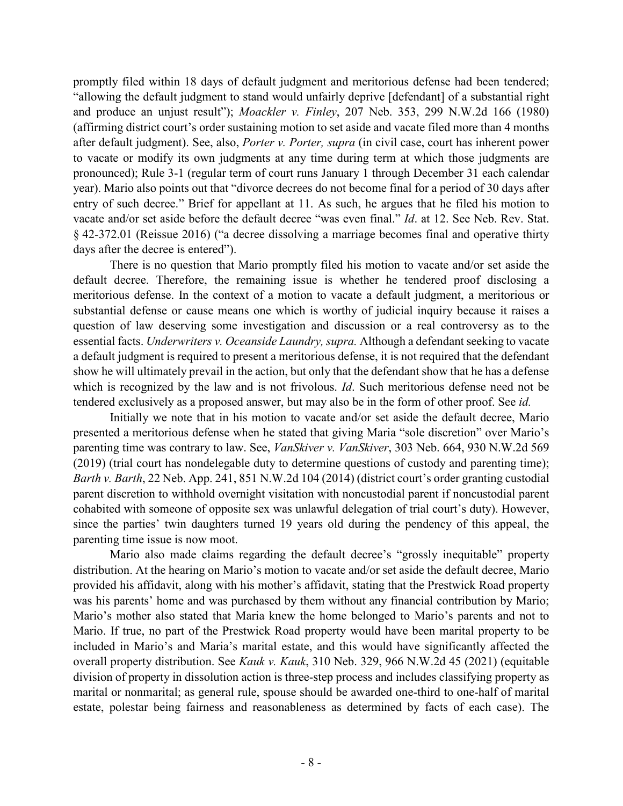promptly filed within 18 days of default judgment and meritorious defense had been tendered; "allowing the default judgment to stand would unfairly deprive [defendant] of a substantial right and produce an unjust result"); *Moackler v. Finley*, 207 Neb. 353, 299 N.W.2d 166 (1980) (affirming district court's order sustaining motion to set aside and vacate filed more than 4 months after default judgment). See, also, *Porter v. Porter, supra* (in civil case, court has inherent power to vacate or modify its own judgments at any time during term at which those judgments are pronounced); Rule 3-1 (regular term of court runs January 1 through December 31 each calendar year). Mario also points out that "divorce decrees do not become final for a period of 30 days after entry of such decree." Brief for appellant at 11. As such, he argues that he filed his motion to vacate and/or set aside before the default decree "was even final." *Id*. at 12. See Neb. Rev. Stat. § 42-372.01 (Reissue 2016) ("a decree dissolving a marriage becomes final and operative thirty days after the decree is entered").

There is no question that Mario promptly filed his motion to vacate and/or set aside the default decree. Therefore, the remaining issue is whether he tendered proof disclosing a meritorious defense. In the context of a motion to vacate a default judgment, a meritorious or substantial defense or cause means one which is worthy of judicial inquiry because it raises a question of law deserving some investigation and discussion or a real controversy as to the essential facts. *Underwriters v. Oceanside Laundry, supra.* Although a defendant seeking to vacate a default judgment is required to present a meritorious defense, it is not required that the defendant show he will ultimately prevail in the action, but only that the defendant show that he has a defense which is recognized by the law and is not frivolous. *Id*. Such meritorious defense need not be tendered exclusively as a proposed answer, but may also be in the form of other proof. See *id.*

Initially we note that in his motion to vacate and/or set aside the default decree, Mario presented a meritorious defense when he stated that giving Maria "sole discretion" over Mario's parenting time was contrary to law. See, *VanSkiver v. VanSkiver*, 303 Neb. 664, 930 N.W.2d 569 (2019) (trial court has nondelegable duty to determine questions of custody and parenting time); *Barth v. Barth*, 22 Neb. App. 241, 851 N.W.2d 104 (2014) (district court's order granting custodial parent discretion to withhold overnight visitation with noncustodial parent if noncustodial parent cohabited with someone of opposite sex was unlawful delegation of trial court's duty). However, since the parties' twin daughters turned 19 years old during the pendency of this appeal, the parenting time issue is now moot.

Mario also made claims regarding the default decree's "grossly inequitable" property distribution. At the hearing on Mario's motion to vacate and/or set aside the default decree, Mario provided his affidavit, along with his mother's affidavit, stating that the Prestwick Road property was his parents' home and was purchased by them without any financial contribution by Mario; Mario's mother also stated that Maria knew the home belonged to Mario's parents and not to Mario. If true, no part of the Prestwick Road property would have been marital property to be included in Mario's and Maria's marital estate, and this would have significantly affected the overall property distribution. See *Kauk v. Kauk*, 310 Neb. 329, 966 N.W.2d 45 (2021) (equitable division of property in dissolution action is three-step process and includes classifying property as marital or nonmarital; as general rule, spouse should be awarded one-third to one-half of marital estate, polestar being fairness and reasonableness as determined by facts of each case). The